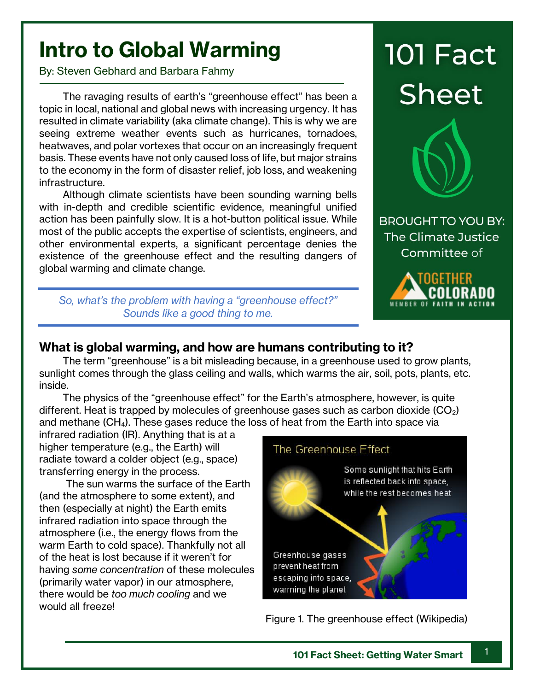## **Intro to Global Warming**

By: Steven Gebhard and Barbara Fahmy

The ravaging results of earth's "greenhouse effect" has been a topic in local, national and global news with increasing urgency. It has resulted in climate variability (aka climate change). This is why we are seeing extreme weather events such as hurricanes, tornadoes, heatwaves, and polar vortexes that occur on an increasingly frequent basis. These events have not only caused loss of life, but major strains to the economy in the form of disaster relief, job loss, and weakening infrastructure.

Although climate scientists have been sounding warning bells with in-depth and credible scientific evidence, meaningful unified action has been painfully slow. It is a hot-button political issue. While most of the public accepts the expertise of scientists, engineers, and other environmental experts, a significant percentage denies the existence of the greenhouse effect and the resulting dangers of global warming and climate change.

*So, what's the problem with having a "greenhouse effect?" Sounds like a good thing to me.*

# **101 Fact Sheet**



**BROUGHT TO YOU BY:** The Climate Justice Committee of



### **What is global warming, and how are humans contributing to it?**

The term "greenhouse" is a bit misleading because, in a greenhouse used to grow plants, sunlight comes through the glass ceiling and walls, which warms the air, soil, pots, plants, etc. inside.

The physics of the "greenhouse effect" for the Earth's atmosphere, however, is quite different. Heat is trapped by molecules of greenhouse gases such as carbon dioxide  $(CO_2)$ and methane (CH4). These gases reduce the loss of heat from the Earth into space via

infrared radiation (IR). Anything that is at a higher temperature (e.g., the Earth) will radiate toward a colder object (e.g., space) transferring energy in the process.

 The sun warms the surface of the Earth (and the atmosphere to some extent), and then (especially at night) the Earth emits infrared radiation into space through the atmosphere (i.e., the energy flows from the warm Earth to cold space). Thankfully not all of the heat is lost because if it weren't for having *some concentration* of these molecules (primarily water vapor) in our atmosphere, there would be *too much cooling* and we would all freeze!



Figure 1. The greenhouse effect (Wikipedia)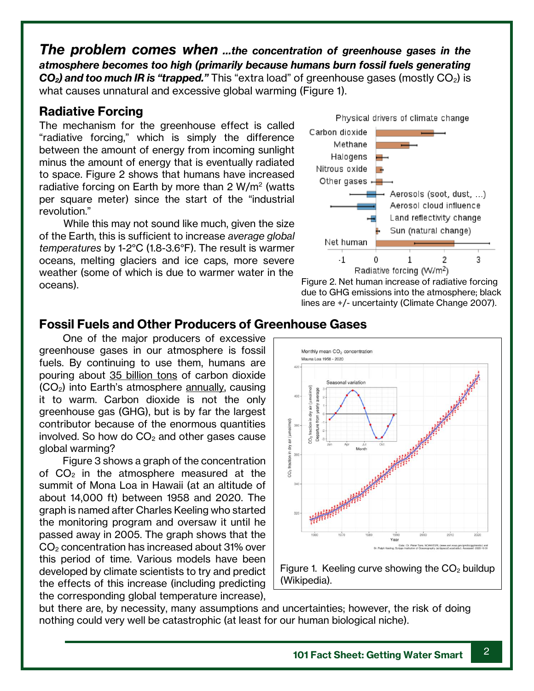*The problem comes when …the concentration of greenhouse gases in the atmosphere becomes too high (primarily because humans burn fossil fuels generating*  **CO<sub>2</sub>** and too much IR is "trapped." This "extra load" of greenhouse gases (mostly CO<sub>2</sub>) is what causes unnatural and excessive global warming (Figure 1).

#### **Radiative Forcing**

The mechanism for the greenhouse effect is called "radiative forcing," which is simply the difference between the amount of energy from incoming sunlight minus the amount of energy that is eventually radiated to space. Figure 2 shows that humans have increased radiative forcing on Earth by more than 2 W/m<sup>2</sup> (watts per square meter) since the start of the "industrial revolution."

 While this may not sound like much, given the size of the Earth, this is sufficient to increase *average global temperatures* by 1-2°C (1.8-3.6°F). The result is warmer oceans, melting glaciers and ice caps, more severe weather (some of which is due to warmer water in the oceans).



Figure 2. Net human increase of radiative forcing due to GHG emissions into the atmosphere; black lines are +/- uncertainty (Climate Change 2007).

#### **Fossil Fuels and Other Producers of Greenhouse Gases**

One of the major producers of excessive greenhouse gases in our atmosphere is fossil fuels. By continuing to use them, humans are pouring about 35 billion tons of carbon dioxide  $(CO<sub>2</sub>)$  into Earth's atmosphere annually, causing it to warm. Carbon dioxide is not the only greenhouse gas (GHG), but is by far the largest contributor because of the enormous quantities involved. So how do  $CO<sub>2</sub>$  and other gases cause global warming?

Figure 3 shows a graph of the concentration of  $CO<sub>2</sub>$  in the atmosphere measured at the summit of Mona Loa in Hawaii (at an altitude of about 14,000 ft) between 1958 and 2020. The graph is named after Charles Keeling who started the monitoring program and oversaw it until he passed away in 2005. The graph shows that the CO<sup>2</sup> concentration has increased about 31% over this period of time. Various models have been developed by climate scientists to try and predict the effects of this increase (including predicting the corresponding global temperature increase),





but there are, by necessity, many assumptions and uncertainties; however, the risk of doing nothing could very well be catastrophic (at least for our human biological niche).